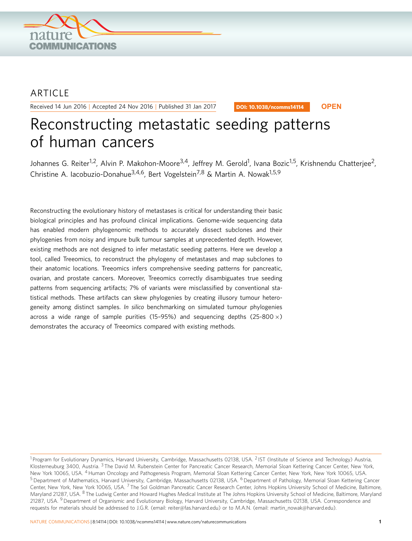

## ARTICLE

Received 14 Jun 2016 | Accepted 24 Nov 2016 | Published 31 Jan 2017

DOI: 10.1038/ncomms14114 **OPEN**

# Reconstructing metastatic seeding patterns of human cancers

Johannes G. Reiter<sup>1,2</sup>, Alvin P. Makohon-Moore<sup>3,4</sup>, Jeffrey M. Gerold<sup>1</sup>, Ivana Bozic<sup>1,5</sup>, Krishnendu Chatterjee<sup>2</sup>, Christine A. Iacobuzio-Donahue<sup>3,4,6</sup>, Bert Vogelstein<sup>7,8</sup> & Martin A. Nowak<sup>1,5,9</sup>

Reconstructing the evolutionary history of metastases is critical for understanding their basic biological principles and has profound clinical implications. Genome-wide sequencing data has enabled modern phylogenomic methods to accurately dissect subclones and their phylogenies from noisy and impure bulk tumour samples at unprecedented depth. However, existing methods are not designed to infer metastatic seeding patterns. Here we develop a tool, called Treeomics, to reconstruct the phylogeny of metastases and map subclones to their anatomic locations. Treeomics infers comprehensive seeding patterns for pancreatic, ovarian, and prostate cancers. Moreover, Treeomics correctly disambiguates true seeding patterns from sequencing artifacts; 7% of variants were misclassified by conventional statistical methods. These artifacts can skew phylogenies by creating illusory tumour heterogeneity among distinct samples. In silico benchmarking on simulated tumour phylogenies across a wide range of sample purities (15-95%) and sequencing depths (25-800 $\times$ ) demonstrates the accuracy of Treeomics compared with existing methods.

<sup>&</sup>lt;sup>1</sup> Program for Evolutionary Dynamics, Harvard University, Cambridge, Massachusetts 02138, USA. <sup>2</sup> IST (Institute of Science and Technology) Austria, Klosterneuburg 3400, Austria. <sup>3</sup>The David M. Rubenstein Center for Pancreatic Cancer Research, Memorial Sloan Kettering Cancer Center, New York, New York 10065, USA. 4Human Oncology and Pathogenesis Program, Memorial Sloan Kettering Cancer Center, New York, New York 10065, USA. <sup>5</sup> Department of Mathematics, Harvard University, Cambridge, Massachusetts 02138, USA. <sup>6</sup> Department of Pathology, Memorial Sloan Kettering Cancer Center, New York, New York 10065, USA.<sup>7</sup> The Sol Goldman Pancreatic Cancer Research Center, Johns Hopkins University School of Medicine, Baltimore, Maryland 21287, USA. <sup>8</sup> The Ludwig Center and Howard Hughes Medical Institute at The Johns Hopkins University School of Medicine, Baltimore, Maryland 21287, USA. <sup>9</sup> Department of Organismic and Evolutionary Biology, Harvard University, Cambridge, Massachusetts 02138, USA. Correspondence and requests for materials should be addressed to J.G.R. (email: [reiter@fas.harvard.edu\)](mailto:reiter@fas.harvard.edu) or to M.A.N. (email: [martin\\_nowak@harvard.edu\)](mailto:martin_nowak@harvard.edu).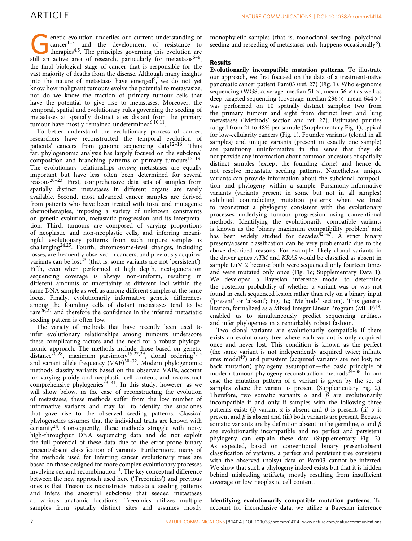enetic evolution underlies our current understanding of cancer<sup>1-3</sup> and the development of resistance to therapies<sup>4,5</sup>. The principles governing this evolution are still an active area of research particularly for metast  $cancer<sup>1-3</sup>$  and the development of resistance to still an active area of research, particularly for metastasis<sup>6-8</sup>, the final biological stage of cancer that is responsible for the vast majority of deaths from the disease. Although many insights into the nature of metastasis have emerged $9$ , we do not yet know how malignant tumours evolve the potential to metastasize, nor do we know the fraction of primary tumour cells that have the potential to give rise to metastases. Moreover, the temporal, spatial and evolutionary rules governing the seeding of metastases at spatially distinct sites distant from the primary tumour have mostly remained undetermined $6,10,11$ .

To better understand the evolutionary process of cancer, researchers have reconstructed the temporal evolution of patients' cancers from genome sequencing data<sup>[12–16](#page-8-0)</sup>. Thus far, phylogenomic analysis has largely focused on the subclonal composition and branching patterns of primary tumours $17-19$ . The evolutionary relationships among metastases are equally important but have less often been determined for several reasons<sup>[20–23](#page-8-0)</sup>. First, comprehensive data sets of samples from spatially distinct metastases in different organs are rarely available. Second, most advanced cancer samples are derived from patients who have been treated with toxic and mutagenic chemotherapies, imposing a variety of unknown constraints on genetic evolution, metastatic progression and its interpretation. Third, tumours are composed of varying proportions of neoplastic and non-neoplastic cells, and inferring meaningful evolutionary patterns from such impure samples is challenging[24,25.](#page-8-0) Fourth, chromosome-level changes, including losses, are frequently observed in cancers, and previously acquired variants can be  $\text{lost}^{23}$  $\text{lost}^{23}$  $\text{lost}^{23}$  (that is, some variants are not 'persistent'). Fifth, even when performed at high depth, next-generation sequencing coverage is always non-uniform, resulting in different amounts of uncertainty at different loci within the same DNA sample as well as among different samples at the same locus. Finally, evolutionarily informative genetic differences among the founding cells of distant metastases tend to be rare<sup>[26,27](#page-8-0)</sup> and therefore the confidence in the inferred metastatic seeding pattern is often low.

The variety of methods that have recently been used to infer evolutionary relationships among tumours underscore these complicating factors and the need for a robust phylogenomic approach. The methods include those based on genetic distance<sup>20,28</sup>, maximum parsimony<sup>19,22,29</sup>, clonal ordering<sup>3,15</sup> and variant allele frequency  $(VAF)^{30-32}$ . Modern phylogenomic methods classify variants based on the observed VAFs, account for varying ploidy and neoplastic cell content, and reconstruct comprehensive phylogenies $33-41$ . In this study, however, as we will show below, in the case of reconstructing the evolution of metastases, these methods suffer from the low number of informative variants and may fail to identify the subclones that gave rise to the observed seeding patterns. Classical phylogenetics assumes that the individual traits are known with certainty<sup>24</sup>. Consequently, these methods struggle with noisy high-throughput DNA sequencing data and do not exploit the full potential of these data due to the error-prone binary present/absent classification of variants. Furthermore, many of the methods used for inferring cancer evolutionary trees are based on those designed for more complex evolutionary processes involving sex and recombination $11$ . The key conceptual difference between the new approach used here ('Treeomics') and previous ones is that Treeomics reconstructs metastatic seeding patterns and infers the ancestral subclones that seeded metastases at various anatomic locations. Treeomics utilizes multiple samples from spatially distinct sites and assumes mostly

monophyletic samples (that is, monoclonal seeding; polyclonal seeding and reseeding of metastases only happens occasionally $8$ ).

### Results

Evolutionarily incompatible mutation patterns. To illustrate our approach, we first focused on the data of a treatment-naïve pancreatic cancer patient Pam03 [\(ref. 27](#page-8-0)) ([Fig. 1\)](#page-2-0). Whole-genome sequencing (WGS; coverage: median 51  $\times$ , mean 56  $\times$ ) as well as deep targeted sequencing (coverage: median 296  $\times$ , mean 644  $\times$ ) was performed on 10 spatially distinct samples: two from the primary tumour and eight from distinct liver and lung metastases ('Methods' section and [ref. 27](#page-8-0)). Estimated purities ranged from 21 to 48% per sample (Supplementary Fig. 1), typical for low-cellularity cancers ([Fig. 1\)](#page-2-0). Founder variants (clonal in all samples) and unique variants (present in exactly one sample) are parsimony uninformative in the sense that they do not provide any information about common ancestors of spatially distinct samples (except the founding clone) and hence do not resolve metastatic seeding patterns. Nonetheless, unique variants can provide information about the subclonal composition and phylogeny within a sample. Parsimony-informative variants (variants present in some but not in all samples) exhibited contradicting mutation patterns when we tried to reconstruct a phylogeny consistent with the evolutionary processes underlying tumour progression using conventional methods. Identifying the evolutionarily compatible variants is known as the 'binary maximum compatibility problem' and has been widely studied for decades<sup> $42-47$ </sup>. A strict binary present/absent classification can be very problematic due to the above described reasons. For example, likely clonal variants in the driver genes ATM and KRAS would be classified as absent in sample LuM 2 because both were sequenced only fourteen times and were mutated only once ([Fig. 1c;](#page-2-0) Supplementary Data 1). We developed a Bayesian inference model to determine the posterior probability of whether a variant was or was not found in each sequenced lesion rather than rely on a binary input ('present' or 'absent'; [Fig. 1c](#page-2-0); 'Methods' section). This generalization, formalized as a Mixed Integer Linear Program (MILP)<sup>48</sup>, enabled us to simultaneously predict sequencing artifacts and infer phylogenies in a remarkably robust fashion.

Two clonal variants are evolutionarily compatible if there exists an evolutionary tree where each variant is only acquired once and never lost. This condition is known as the perfect (the same variant is not independently acquired twice; infinite sites model<sup>[49](#page-9-0)</sup>) and persistent (acquired variants are not lost; no back mutation) phylogeny assumption—the basic principle of modern tumour phylogeny reconstruction methods<sup>34-38</sup>. In our case the mutation pattern of a variant is given by the set of samples where the variant is present (Supplementary Fig. 2). Therefore, two somatic variants  $\alpha$  and  $\beta$  are evolutionarily incompatible if and only if samples with the following three patterns exist: (i) variant  $\alpha$  is absent and  $\beta$  is present, (ii)  $\alpha$  is present and  $\beta$  is absent and (iii) both variants are present. Because somatic variants are by definition absent in the germline,  $\alpha$  and  $\beta$ are evolutionarily incompatible and no perfect and persistent phylogeny can explain these data (Supplementary Fig. 2). As expected, based on conventional binary present/absent classification of variants, a perfect and persistent tree consistent with the observed (noisy) data of Pam03 cannot be inferred. We show that such a phylogeny indeed exists but that it is hidden behind misleading artifacts, mostly resulting from insufficient coverage or low neoplastic cell content.

Identifying evolutionarily compatible mutation patterns. To account for inconclusive data, we utilize a Bayesian inference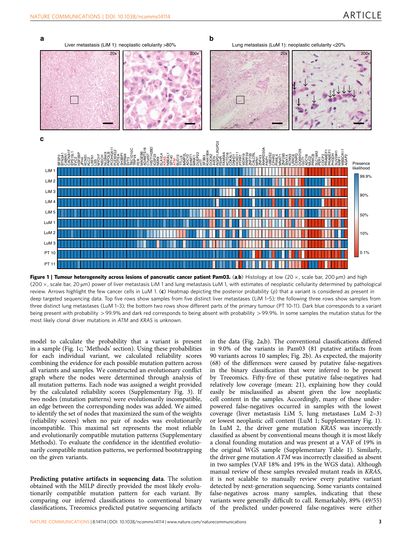<span id="page-2-0"></span>

Figure 1 | Tumour heterogeneity across lesions of pancreatic cancer patient Pam03. (a,b) Histology at low (20  $\times$ , scale bar, 200 µm) and high (200 ×, scale bar, 20 µm) power of liver metastasis LiM 1 and lung metastasis LuM 1, with estimates of neoplastic cellularity determined by pathological review. Arrows highlight the few cancer cells in LuM 1. (c) Heatmap depicting the posterior probability (p) that a variant is considered as present in deep targeted sequencing data. Top five rows show samples from five distinct liver metastases (LiM 1–5); the following three rows show samples from three distinct lung metastases (LuM 1–3); the bottom two rows show different parts of the primary tumour (PT 10-11). Dark blue corresponds to a variant being present with probability >99.9% and dark red corresponds to being absent with probability >99.9%. In some samples the mutation status for the most likely clonal driver mutations in ATM and KRAS is unknown.

model to calculate the probability that a variant is present in a sample (Fig. 1c; 'Methods' section). Using these probabilities for each individual variant, we calculated reliability scores combining the evidence for each possible mutation pattern across all variants and samples. We constructed an evolutionary conflict graph where the nodes were determined through analysis of all mutation patterns. Each node was assigned a weight provided by the calculated reliability scores (Supplementary Fig. 3). If two nodes (mutation patterns) were evolutionarily incompatible, an edge between the corresponding nodes was added. We aimed to identify the set of nodes that maximized the sum of the weights (reliability scores) when no pair of nodes was evolutionarily incompatible. This maximal set represents the most reliable and evolutionarily compatible mutation patterns (Supplementary Methods). To evaluate the confidence in the identified evolutionarily compatible mutation patterns, we performed bootstrapping on the given variants.

Predicting putative artifacts in sequencing data. The solution obtained with the MILP directly provided the most likely evolutionarily compatible mutation pattern for each variant. By comparing our inferred classifications to conventional binary classifications, Treeomics predicted putative sequencing artifacts in the data ([Fig. 2a,b\)](#page-3-0). The conventional classifications differed in 9.0% of the variants in Pam03 (81 putative artifacts from 90 variants across 10 samples; [Fig. 2b\)](#page-3-0). As expected, the majority (68) of the differences were caused by putative false-negatives in the binary classification that were inferred to be present by Treeomics. Fifty-five of these putative false-negatives had relatively low coverage (mean: 21), explaining how they could easily be misclassified as absent given the low neoplastic cell content in the samples. Accordingly, many of these underpowered false-negatives occurred in samples with the lowest coverage (liver metastasis LiM 5, lung metastases LuM 2–3) or lowest neoplastic cell content (LuM 1; Supplementary Fig. 1). In LuM 2, the driver gene mutation KRAS was incorrectly classified as absent by conventional means though it is most likely a clonal founding mutation and was present at a VAF of 19% in the original WGS sample (Supplementary Table 1). Similarly, the driver gene mutation ATM was incorrectly classified as absent in two samples (VAF 18% and 19% in the WGS data). Although manual review of these samples revealed mutant reads in KRAS, it is not scalable to manually review every putative variant detected by next-generation sequencing. Some variants contained false-negatives across many samples, indicating that these variants were generally difficult to call. Remarkably, 89% (49/55) of the predicted under-powered false-negatives were either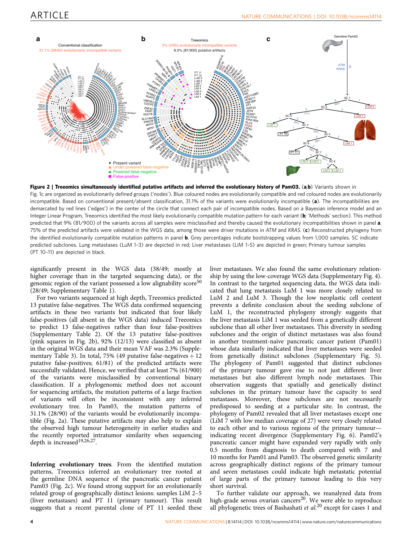<span id="page-3-0"></span>

Figure 2 | Treeomics simultaneously identified putative artifacts and inferred the evolutionary history of Pam03. (a,b) Variants shown in [Fig. 1c](#page-2-0) are organized as evolutionarily defined groups ('nodes'). Blue coloured nodes are evolutionarily compatible and red coloured nodes are evolutionarily incompatible. Based on conventional present/absent classification, 31.1% of the variants were evolutionarily incompatible (a). The incompatibilities are demarcated by red lines ('edges') in the center of the circle that connect each pair of incompatible nodes. Based on a Bayesian inference model and an Integer Linear Program, Treeomics identified the most likely evolutionarily compatible mutation pattern for each variant (b; 'Methods' section). This method predicted that 9% (81/900) of the variants across all samples were misclassified and thereby caused the evolutionary incompatibilities shown in panel a. 75% of the predicted artifacts were validated in the WGS data, among those were driver mutations in ATM and KRAS. (c) Reconstructed phylogeny from the identified evolutionarily compatible mutation patterns in panel **b**. Grey percentages indicate bootstrapping values from 1,000 samples. SC indicate predicted subclones. Lung metastases (LuM 1–3) are depicted in red; Liver metastases (LiM 1–5) are depicted in green; Primary tumour samples (PT 10–11) are depicted in black.

significantly present in the WGS data (38/49; mostly at higher coverage than in the targeted sequencing data), or the genomic region of the variant possessed a low alignability score<sup>[50](#page-9-0)</sup>  $(28/49;$  Supplementary Table 1).

For two variants sequenced at high depth, Treeomics predicted 13 putative false-negatives. The WGS data confirmed sequencing artifacts in these two variants but indicated that four likely false-positives (all absent in the WGS data) induced Treeomics to predict 13 false-negatives rather than four false-positives (Supplementary Table 2). Of the 13 putative false-positives (pink squares in Fig. 2b), 92% (12/13) were classified as absent in the original WGS data and their mean VAF was 2.3% (Supplementary Table 3). In total, 75% (49 putative false-negatives  $+12$ putative false-positives; 61/81) of the predicted artifacts were successfully validated. Hence, we verified that at least 7% (61/900) of the variants were misclassified by conventional binary classification. If a phylogenomic method does not account for sequencing artifacts, the mutation patterns of a large fraction of variants will often be inconsistent with any inferred evolutionary tree. In Pam03, the mutation patterns of 31.1% (28/90) of the variants would be evolutionarily incompatible (Fig. 2a). These putative artifacts may also help to explain the observed high tumour heterogeneity in earlier studies and the recently reported intratumor similarity when sequencing depth is increased<sup>19,26,27</sup>.

Inferring evolutionary trees. From the identified mutation patterns, Treeomics inferred an evolutionary tree rooted at the germline DNA sequence of the pancreatic cancer patient Pam03 (Fig. 2c). We found strong support for an evolutionarily related group of geographically distinct lesions: samples LiM 2–5 (liver metastases) and PT 11 (primary tumour). This result suggests that a recent parental clone of PT 11 seeded these

liver metastases. We also found the same evolutionary relationship by using the low-coverage WGS data (Supplementary Fig. 4). In contrast to the targeted sequencing data, the WGS data indicated that lung metastasis LuM 1 was more closely related to LuM 2 and LuM 3. Though the low neoplastic cell content prevents a definite conclusion about the seeding subclone of LuM 1, the reconstructed phylogeny strongly suggests that the liver metastasis LiM 1 was seeded from a genetically different subclone than all other liver metastases. This diversity in seeding subclones and the origin of distinct metastases was also found in another treatment-naïve pancreatic cancer patient (Pam01) whose data similarly indicated that liver metastases were seeded from genetically distinct subclones (Supplementary Fig. 5). The phylogeny of Pam01 suggested that distinct subclones of the primary tumour gave rise to not just different liver metastases but also different lymph node metastases. This observation suggests that spatially and genetically distinct subclones in the primary tumour have the capacity to seed metastases. Moreover, these subclones are not necessarily predisposed to seeding at a particular site. In contrast, the phylogeny of Pam02 revealed that all liver metastases except one (LiM 7 with low median coverage of 27) were very closely related to each other and to various regions of the primary tumour indicating recent divergence (Supplementary Fig. 6). Pam02's pancreatic cancer might have expanded very rapidly with only 0.5 months from diagnosis to death compared with 7 and 10 months for Pam01 and Pam03. The observed genetic similarity across geographically distinct regions of the primary tumour and seven metastases could indicate high metastatic potential of large parts of the primary tumour leading to this very short survival.

To further validate our approach, we reanalyzed data from high-grade serous ovarian cancers<sup>20</sup>. We were able to reproduce all phylogenetic trees of Bashashati et  $al.^{20}$  $al.^{20}$  $al.^{20}$  except for cases 1 and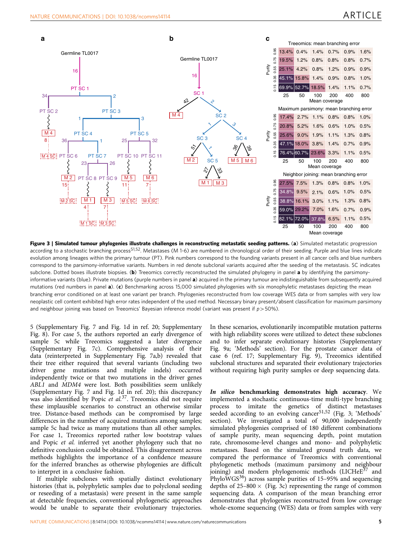<span id="page-4-0"></span>

Figure 3 | Simulated tumour phylogenies illustrate challenges in reconstructing metastatic seeding patterns. (a) Simulated metastatic progression according to a stochastic branching process<sup>51,52</sup>. Metastases (M 1-6) are numbered in chronological order of their seeding. Purple and blue lines indicate evolution among lineages within the primary tumour (PT). Pink numbers correspond to the founding variants present in all cancer cells and blue numbers correspond to the parsimony-informative variants. Numbers in red denote subclonal variants acquired after the seeding of the metastasis. SC indicates subclone. Dotted boxes illustrate biopsies. (b) Treeomics correctly reconstructed the simulated phylogeny in panel a by identifying the parsimonyinformative variants (blue). Private mutations (purple numbers in panel a) acquired in the primary tumour are indistinguishable from subsequently acquired mutations (red numbers in panel  $a$ ). (c) Benchmarking across 15,000 simulated phylogenies with six monophyletic metastases depicting the mean branching error conditioned on at least one variant per branch. Phylogenies reconstructed from low coverage WES data or from samples with very low neoplastic cell content exhibited high error rates independent of the used method. Necessary binary present/absent classification for maximum parsimony and neighbour joining was based on Treeomics' Bayesian inference model (variant was present if  $p>50%$ ).

5 (Supplementary Fig. 7 and [Fig. 1d](#page-2-0) in [ref. 20;](#page-8-0) Supplementary Fig. 8). For case 5, the authors reported an early divergence of sample 5c while Treeomics suggested a later divergence (Supplementary Fig. 7c). Comprehensive analysis of their data (reinterpreted in Supplementary Fig. 7a,b) revealed that their tree either required that several variants (including two driver gene mutations and multiple indels) occurred independently twice or that two mutations in the driver genes ABL1 and MDM4 were lost. Both possibilities seem unlikely (Supplementary Fig. 7 and [Fig. 1d](#page-2-0) in [ref. 20](#page-8-0)); this discrepancy was also identified by Popic et al.<sup>[37](#page-8-0)</sup>. Treeomics did not require these implausible scenarios to construct an otherwise similar tree. Distance-based methods can be compromised by large differences in the number of acquired mutations among samples; sample 5c had twice as many mutations than all other samples. For case 1, Treeomics reported rather low bootstrap values and Popic et al. inferred yet another phylogeny such that no definitive conclusion could be obtained. This disagreement across methods highlights the importance of a confidence measure for the inferred branches as otherwise phylogenies are difficult to interpret in a conclusive fashion.

If multiple subclones with spatially distinct evolutionary histories (that is, polyphyletic samples due to polyclonal seeding or reseeding of a metastasis) were present in the same sample at detectable frequencies, conventional phylogenetic approaches would be unable to separate their evolutionary trajectories.

In these scenarios, evolutionarily incompatible mutation patterns with high reliability scores were utilized to detect these subclones and to infer separate evolutionary histories (Supplementary Fig. 9a; 'Methods' section). For the prostate cancer data of case 6 [\(ref. 17](#page-8-0); Supplementary Fig. 9), Treeomics identified subclonal structures and separated their evolutionary trajectories without requiring high purity samples or deep sequencing data.

In silico benchmarking demonstrates high accuracy. We implemented a stochastic continuous-time multi-type branching process to imitate the genetics of distinct metastases seeded according to an evolving cancer<sup>[51,52](#page-9-0)</sup> (Fig. 3; 'Methods' section). We investigated a total of 90,000 independently simulated phylogenies comprised of 180 different combinations of sample purity, mean sequencing depth, point mutation rate, chromosome-level changes and mono- and polyphyletic metastases. Based on the simulated ground truth data, we compared the performance of Treeomics with conventional phylogenetic methods (maximum parsimony and neighbour joining) and modern phylogenomic methods (LICHeE<sup>[37](#page-8-0)</sup> and PhyloWGS $36$ ) across sample purities of 15-95% and sequencing depths of 25–800  $\times$  (Fig. 3c) representing the range of common sequencing data. A comparison of the mean branching error demonstrates that phylogenies reconstructed from low coverage whole-exome sequencing (WES) data or from samples with very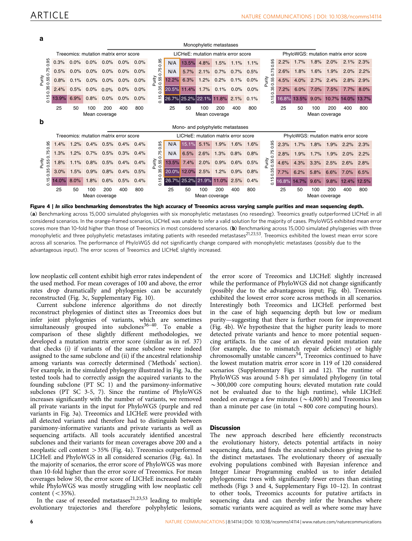<span id="page-5-0"></span>**a**

|                                                  |                                        |         |                                        |         |      |      |                                     |                   |             |       | Monophyletic metastases             |      |      |                |                                       |       |      |       |                                       |       |
|--------------------------------------------------|----------------------------------------|---------|----------------------------------------|---------|------|------|-------------------------------------|-------------------|-------------|-------|-------------------------------------|------|------|----------------|---------------------------------------|-------|------|-------|---------------------------------------|-------|
|                                                  | Treeomics: mutation matrix error score |         |                                        |         |      |      | LICHeE: mutation matrix error score |                   |             |       |                                     |      |      |                | PhyloWGS: mutation matrix error score |       |      |       |                                       |       |
| 0.95<br>0.75<br>Purity<br>0.55 (<br>0.35<br>0.15 | 0.3%                                   | 0.0%    | 0.0%                                   | $0.0\%$ | 0.0% | 0.0% | 0.95                                | N/A               | 13.5%       | 4.8%  | 1.5%                                | 1.1% | 1.1% | 0.95<br>0.75   | 2.2%                                  | 1.7%  | 1.8% | 2.0%  | 2.1%                                  | 2.3%  |
|                                                  | 0.5%                                   | $0.0\%$ | 0.0%                                   | 0.0%    | 0.0% | 0.0% | 0.75                                | N/A               | 5.7%        | 2.1%  | 0.7%                                | 0.7% | 0.5% |                | 2.6%                                  | 1.8%  | 1.6% | 1.9%  | 2.0%                                  | 2.2%  |
|                                                  | 0.8%                                   | 0.1%    | 0.0%                                   | 0.0%    | 0.0% | 0.0% | Purity<br>0.55 (                    | 12.2%             | 6.3%        | 1.2%  | 0.2%                                | 0.1% | 0.0% | Purity<br>0.55 | 4.5%                                  | 4.0%  | 2.7% | 2.4%  | 2.8%                                  | 2.9%  |
|                                                  | 2.4%                                   | 0.5%    | 0.0%                                   | 0.0%    | 0.0% | 0.0% | 0.35                                | 20.5%             | 11.4%       | 1.7%  | 0.1%                                | 0.0% | 0.0% | 0.35           | 7.2%                                  | 6.0%  | 7.0% | 7.5%  | 7.7%                                  | 8.0%  |
|                                                  | 13.9%                                  | 6.9%    | 0.8%                                   | $0.0\%$ | 0.0% | 0.0% | 15                                  | 26.7% 25.2% 22.1% |             |       | 11.8%                               | 2.1% | 0.1% | 0.15           | 16.8%                                 | 13.5% | 9.0% | 10.7% | 14.0%                                 | 13.7% |
|                                                  | 25                                     | 50      | 100                                    | 200     | 400  | 800  |                                     | 25                | 50          | 100   | 200                                 | 400  | 800  |                | 25                                    | 50    | 100  | 200   | 400                                   | 800   |
|                                                  |                                        |         | Mean coverage                          |         |      |      | Mean coverage                       |                   |             |       |                                     |      |      |                | Mean coverage                         |       |      |       |                                       |       |
| b                                                | Mono- and polyphyletic metastases      |         |                                        |         |      |      |                                     |                   |             |       |                                     |      |      |                |                                       |       |      |       |                                       |       |
|                                                  |                                        |         |                                        |         |      |      |                                     |                   |             |       |                                     |      |      |                |                                       |       |      |       |                                       |       |
|                                                  |                                        |         | Treeomics: mutation matrix error score |         |      |      |                                     |                   |             |       | LICHeE: mutation matrix error score |      |      |                |                                       |       |      |       | PhyloWGS: mutation matrix error score |       |
|                                                  | 1.4%                                   | 1.2%    | 0.4%                                   | 0.5%    | 0.4% | 0.4% |                                     | N/A               | 15.1%       | 5.1%  | 1.9%                                | 1.6% | 1.6% |                | 2.3%                                  | 1.7%  | 1.8% | 1.9%  | 2.2%                                  | 2.3%  |
| 0.95                                             | .3%                                    | 1.2%    | 0.7%                                   | 0.5%    | 0.3% | 0.4% | 0.95                                | N/A               | 6.5%        | 2.6%  | 1.3%                                | 0.8% | 0.8% | 0.95           | 2.8%                                  | 1.9%  | 1.7% | 1.9%  | 2.0%                                  | 2.2%  |
| 0.75                                             | .8%                                    | 1.1%    | 0.8%                                   | 0.5%    | 0.4% | 0.4% | 0.75                                | 13.5%             | 7.4%        | 2.0%  | 0.9%                                | 0.6% | 0.5% | 0.75           | 4.6%                                  | 4.3%  | 3.3% | 2.5%  | 2.6%                                  | 2.8%  |
| Purity<br>0.55<br>35                             | 3.0%                                   | 1.5%    | 0.9%                                   | 0.8%    | 0.4% | 0.5% | Purity<br>0.55<br>35                | 20.0%             | 12.0%       | 2.5%  | 1.2%                                | 0.9% | 0.8% | Purity<br>0.55 | 7.7%                                  | 6.2%  | 5.8% | 6.6%  | 7.0%                                  | 6.5%  |
| ö                                                | 14.0%                                  | 8.0%    | 1.8%                                   | 0.6%    | 0.5% | 0.4% | ö<br>$\frac{1}{2}$                  |                   | 26.7% 25.2% | 21.9% | 11.0%                               | 2.5% | 0.4% | 0.35<br>0.15   | 16.8%                                 | 14.7% | 9.6% | 9.8%  | 12.4%                                 | 12.5% |
| 0.15                                             | 25                                     | 50      | 100                                    | 200     | 400  | 800  |                                     | 25                | 50          | 100   | 200                                 | 400  | 800  |                | 25                                    | 50    | 100  | 200   | 400                                   | 800   |

Figure 4 | In silico benchmarking demonstrates the high accuracy of Treeomics across varying sample purities and mean sequencing depth.

(a) Benchmarking across 15,000 simulated phylogenies with six monophyletic metastases (no reseeding). Treeomics greatly outperformed LICHeE in all considered scenarios. In the orange-framed scenarios, LICHeE was unable to infer a valid solution for the majority of cases. PhyloWGS exhibited mean error scores more than 10-fold higher than those of Treeomics in most considered scenarios. (b) Benchmarking across 15,000 simulated phylogenies with three monophyletic and three polyphyletic metastases imitating patients with reseeded metastases<sup>[21,23,53](#page-8-0)</sup>. Treeomics exhibited the lowest mean error score across all scenarios. The performance of PhyloWGS did not significantly change compared with monophyletic metastases (possibly due to the advantageous input). The error scores of Treeomics and LICHeE slightly increased.

low neoplastic cell content exhibit high error rates independent of the used method. For mean coverages of 100 and above, the error rates drop dramatically and phylogenies can be accurately reconstructed ([Fig. 3c,](#page-4-0) Supplementary Fig. 10).

Current subclone inference algorithms do not directly reconstruct phylogenies of distinct sites as Treeomics does but infer joint phylogenies of variants, which are sometimes simultaneously grouped into subclones<sup>36-40</sup>. To enable a comparison of these slightly different methodologies, we developed a mutation matrix error score (similar as in [ref. 37](#page-8-0)) that checks (i) if variants of the same subclone were indeed assigned to the same subclone and (ii) if the ancestral relationship among variants was correctly determined ('Methods' section). For example, in the simulated phylogeny illustrated in [Fig. 3a](#page-4-0), the tested tools had to correctly assign the acquired variants to the founding subclone (PT SC 1) and the parsimony-informative subclones (PT SC 3-5, 7). Since the runtime of PhyloWGS increases significantly with the number of variants, we removed all private variants in the input for PhyloWGS (purple and red variants in [Fig. 3a\)](#page-4-0). Treeomics and LICHeE were provided with all detected variants and therefore had to distinguish between parsimony-informative variants and private variants as well as sequencing artifacts. All tools accurately identified ancestral subclones and their variants for mean coverages above 200 and a neoplastic cell content > 35% (Fig. 4a). Treeomics outperformed LICHeE and PhyloWGS in all considered scenarios (Fig. 4a). In the majority of scenarios, the error score of PhyloWGS was more than 10-fold higher than the error score of Treeomics. For mean coverages below 50, the error score of LICHeE increased notably while PhyloWGS was mostly struggling with low neoplastic cell content  $(< 35\%$ ).

In the case of reseeded metastases $21,23,53$  leading to multiple evolutionary trajectories and therefore polyphyletic lesions,

the error score of Treeomics and LICHeE slightly increased while the performance of PhyloWGS did not change significantly (possibly due to the advantageous input; Fig. 4b). Treeomics exhibited the lowest error score across methods in all scenarios. Interestingly both Treeomics and LICHeE performed best in the case of high sequencing depth but low or medium purity—suggesting that there is further room for improvement (Fig. 4b). We hypothesize that the higher purity leads to more detected private variants and hence to more potential sequencing artifacts. In the case of an elevated point mutation rate (for example, due to mismatch repair deficiency) or highly chromosomally unstable cancers<sup>[54](#page-9-0)</sup>, Treeomics continued to have the lowest mutation matrix error score in 119 of 120 considered scenarios (Supplementary Figs 11 and 12). The runtime of PhyloWGS was around 5-8 h per simulated phylogeny (in total  $\sim$ 300,000 core computing hours; elevated mutation rate could not be evaluated due to the high runtime), while LICHeE needed on average a few minutes ( $\sim$  4,000 h) and Treeomics less than a minute per case (in total  $\sim 800$  core computing hours).

#### Discussion

The new approach described here efficiently reconstructs the evolutionary history, detects potential artifacts in noisy sequencing data, and finds the ancestral subclones giving rise to the distinct metastases. The evolutionary theory of asexually evolving populations combined with Bayesian inference and Integer Linear Programming enabled us to infer detailed phylogenomic trees with significantly fewer errors than existing methods [\(Figs 3](#page-4-0) and 4, Supplementary Figs 10–12). In contrast to other tools, Treeomics accounts for putative artifacts in sequencing data and can thereby infer the branches where somatic variants were acquired as well as where some may have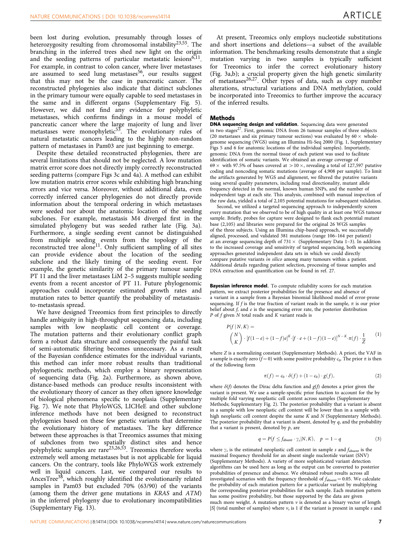been lost during evolution, presumably through losses of heterozygosity resulting from chromosomal instability<sup>23,55</sup>. The branching in the inferred trees shed new light on the origin and the seeding patterns of particular metastatic lesions $6,11$ . For example, in contrast to colon cancer, where liver metastases are assumed to seed lung metastases<sup>[56](#page-9-0)</sup>, our results suggest that this may not be the case in pancreatic cancer. The reconstructed phylogenies also indicate that distinct subclones in the primary tumour were equally capable to seed metastases in the same and in different organs (Supplementary Fig. 5). However, we did not find any evidence for polyphyletic metastases, which confirms findings in a mouse model of pancreatic cancer where the large majority of lung and liver metastases were monophyletic<sup>53</sup>. The evolutionary rules of natural metastatic cancers leading to the highly non-random pattern of metastases in Pam03 are just beginning to emerge.

Despite these detailed reconstructed phylogenies, there are several limitations that should not be neglected. A low mutation matrix error score does not directly imply correctly reconstructed seeding patterns (compare [Figs 3c](#page-4-0) and [4a\)](#page-5-0). A method can exhibit low mutation matrix error scores while exhibiting high branching errors and vice versa. Moreover, without additional data, even correctly inferred cancer phylogenies do not directly provide information about the temporal ordering in which metastases were seeded nor about the anatomic location of the seeding subclones. For example, metastasis M4 diverged first in the simulated phylogeny but was seeded rather late [\(Fig. 3a](#page-4-0)). Furthermore, a single seeding event cannot be distinguished from multiple seeding events from the topology of the reconstructed tree alone<sup>11</sup>. Only sufficient sampling of all sites can provide evidence about the location of the seeding subclone and the likely timing of the seeding event. For example, the genetic similarity of the primary tumour sample PT 11 and the liver metastases LiM 2–5 suggests multiple seeding events from a recent ancestor of PT 11. Future phylogenomic approaches could incorporate estimated growth rates and mutation rates to better quantify the probability of metastasisto-metastasis spread.

We have designed Treeomics from first principles to directly handle ambiguity in high-throughput sequencing data, including samples with low neoplastic cell content or coverage. The mutation patterns and their evolutionary conflict graph form a robust data structure and consequently the painful task of semi-automatic filtering becomes unnecessary. As a result of the Bayesian confidence estimates for the individual variants, this method can infer more robust results than traditional phylogenetic methods, which employ a binary representation of sequencing data [\(Fig. 2a](#page-3-0)). Furthermore, as shown above, distance-based methods can produce results inconsistent with the evolutionary theory of cancer as they often ignore knowledge of biological phenomena specific to neoplasia (Supplementary Fig. 7). We note that PhyloWGS, LICHeE and other subclone inference methods have not been designed to reconstruct phylogenies based on these few genetic variants that determine the evolutionary history of metastases. The key difference between these approaches is that Treeomics assumes that mixing of subclones from two spatially distinct sites and hence polyphyletic samples are rare<sup>[23,26,53](#page-8-0)</sup>. Treeomics therefore works extremely well among metastases but is not applicable for liquid cancers. On the contrary, tools like PhyloWGS work extremely well in liquid cancers. Last, we compared our results to AncesTree[38,](#page-8-0) which roughly identified the evolutionarily related samples in Pam03 but excluded 70% (63/90) of the variants (among them the driver gene mutations in KRAS and ATM) in the inferred phylogeny due to evolutionary incompatibilities (Supplementary Fig. 13).

At present, Treeomics only employs nucleotide substitutions and short insertions and deletions—a subset of the available information. The benchmarking results demonstrate that a single mutation varying in two samples is typically sufficient for Treeomics to infer the correct evolutionary history ([Fig. 3a,b](#page-4-0)); a crucial property given the high genetic similarity of metastases<sup>26,27</sup>. Other types of data, such as copy number alterations, structural variations and DNA methylation, could be incorporated into Treeomics to further improve the accuracy of the inferred results.

#### **Methods**

DNA sequencing design and validation. Sequencing data were generated in two stages<sup>27</sup>. First, genomic DNA from 26 tumour samples of three subjects (20 metastases and six primary tumour sections) was evaluated by  $60 \times$  wholegenome sequencing (WGS) using an Illumina Hi-Seq 2000 ([Fig. 1,](#page-2-0) Supplementary Figs 5 and 6 for anatomic locations of the individual samples). Importantly, genomic DNA from the normal tissue of each patient was used to facilitate identification of somatic variants. We obtained an average coverage of 69  $\times$  with 97.5% of bases covered at  $>$  10  $\times$ , revealing a total of 127,597 putative coding and noncoding somatic mutations (average of 4,908 per sample). To limit the artifacts generated by WGS and alignment, we filtered the putative variants using several quality parameters, including read directionality, mutant allele frequency detected in the normal, known human SNPs, and the number of independent tags at each site. This analysis, combined with manual inspection of the raw data, yielded a total of 2,105 potential mutations for subsequent validation.

Second, we utilized a targeted sequencing approach to independently screen every mutation that we observed to be of high quality in at least one WGS tumour sample. Briefly, probes for capture were designed to flank each potential mutant base (2,105) and libraries were prepared for the original 26 WGS samples of the three subjects. Using an Illumina chip-based approach, we successfully aligned, processed, and validated 381 mutations (range 106–164 per patient) at an average sequencing depth of  $731 \times$  (Supplementary Data 1-3). In addition to the increased coverage and sensitivity of targeted sequencing, both sequencing approaches generated independent data sets in which we could directly compare putative variants in silico among many tumours within a patient. Additional details regarding patient selection, processing of tissue samples and DNA extraction and quantification can be found in [ref. 27.](#page-8-0)

Bayesian inference model. To compute reliability scores for each mutation pattern, we extract posterior probabilities for the presence and absence of a variant in a sample from a Bayesian binomial likelihood model of error-prone sequencing. If f is the true fraction of variant reads in the sample,  $\pi$  is our prior belief about  $f$ , and  $e$  is the sequencing error rate, the posterior distribution P of  $f$  given  $N$  total reads and  $K$  variant reads is

$$
P(f|N, K) =
$$
  
\n
$$
\binom{N}{K} \cdot [f(1-e) + (1-f)e]^K \cdot [f \cdot e + (1-f)(1-e)]^{N-K} \cdot \pi(f) \cdot \frac{1}{Z}
$$
 (1)

where Z is a normalizing constant (Supplementary Methods). A priori, the VAF in a sample is exactly zero  $(f = 0)$  with some positive probability  $c_0$ . The prior  $\pi$  is then of the following form

$$
\pi(f) = c_0 \cdot \delta(f) + (1 - c_0) \cdot g(f),\tag{2}
$$

where  $\delta(f)$  denotes the Dirac delta function and  $g(f)$  denotes a prior given the variant is present. We use a sample-specific prior function to account for the by multiple fold varying neoplastic cell content across samples (Supplementary Methods; Supplementary Fig. 2). The posterior probability that a variant is absent in a sample with low neoplastic cell content will be lower than in a sample with high neoplastic cell content despite the same K and N (Supplementary Methods). The posterior probability that a variant is absent, denoted by  $q$ , and the probability that a variant is present, denoted by  $p$ , are

$$
q = P(f \le f_{\text{absent}} \cdot \gamma_s | N, K), \quad p = 1 - q \tag{3}
$$

where  $\gamma_s$  is the estimated neoplastic cell content in sample s and  $f_{\text{absent}}$  is the maximal frequency threshold for an absent single nucleotide variant (SNV) (Supplementary Methods). A variety of more sophisticated variant detection algorithms can be used here as long as the output can be converted to posterior probabilities of presence and absence. We obtained robust results across all investigated scenarios with the frequency threshold of  $f_{\text{absent}} = 0.05$ . We calculate the probability of each mutation pattern for a particular variant by multiplying the corresponding posterior probabilities for each sample. Each mutation pattern has some positive probability, but those supported by the data are given much more weight. A mutation pattern  $\nu$  is denoted as a binary vector of length |S| (total number of samples) where  $v_s$  is 1 if the variant is present in sample s and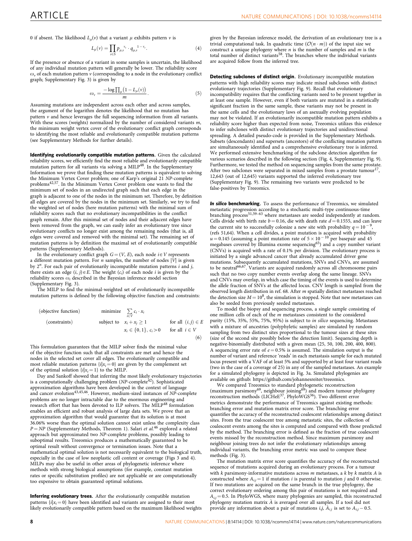0 if absent. The likelihood  $L_n(v)$  that a variant  $\mu$  exhibits pattern  $v$  is

$$
L_{\mu}(v) = \prod_{s \in S} p_{\mu,s}^{v_s} \cdot q_{\mu,s}^{1 - v_s}.
$$
 (4)

If the presence or absence of a variant in some samples is uncertain, the likelihood of any individual mutation pattern will generally be lower. The reliability score  $\omega_{\nu}$  of each mutation pattern  $\nu$  (corresponding to a node in the evolutionary conflict graph; Supplementary Fig. 3) is given by

$$
\omega_{\nu} = \frac{-\log \prod_{\mu} (1 - L_{\mu}(\nu))}{m}.
$$
\n(5)

Assuming mutations are independent across each other and across samples, the argument of the logarithm denotes the likelihood that no mutation has pattern  $\nu$  and hence leverages the full sequencing information from all variants. With these scores (weights) normalized by the number of considered variants m, the minimum weight vertex cover of the evolutionary conflict graph corresponds to identifying the most reliable and evolutionarily compatible mutation patterns (see Supplementary Methods for further details).

Identifying evolutionarily compatible mutation patterns. Given the calculated reliability scores, we efficiently find the most reliable and evolutionarily compatible mutation pattern for all variants via solving a MILP<sup>[48](#page-9-0)</sup>. In the Supplementary Information we prove that finding these mutation patterns is equivalent to solving the Minimum Vertex Cover problem; one of Karp's original 21 *NP*-complete<br>problems<sup>[42,57](#page-9-0)</sup>. In the Minimum Vertex Cover problem one wants to find the minimum set of nodes in an undirected graph such that each edge in the graph is adjacent to one of the nodes in the minimum set. Therefore, by definition all edges are covered by the nodes in the minimum set. Similarly, we try to find the weighted set of nodes (here mutation patterns) with the minimal sum of reliability scores such that no evolutionary incompatibilities in the conflict graph remain. After this minimal set of nodes and their adjacent edges have been removed from the graph, we can easily infer an evolutionary tree since evolutionary conflicts no longer exist among the remaining nodes (that is, all edges were covered and removed with the minimal set). The remaining set of mutation patterns is by definition the maximal set of evolutionarily compatible patterns (Supplementary Methods).

In the evolutionary conflict graph  $G = (V, E)$ , each node  $i \in V$  represents a different mutation pattern. For *n* samples, the number of nodes  $|V|$  is given by  $2^n$ . For each pair of evolutionarily incompatible mutation patterns  $i$  and  $j$ , there exists an edge  $(i, j) \in E$ . The weight  $(c_i)$  of each node i is given by the reliability scores  $\omega_i$  described in the Bayesian inference model section (Supplementary Fig. 3).

The MILP to find the minimal-weighted set of evolutionarily incompatible mutation patterns is defined by the following objective function and constraints:

| (objective function)                          | minimize $\sum_{i \in V} c_i \cdot x_i$             | for all $(i, j) \in E$ |
|-----------------------------------------------|-----------------------------------------------------|------------------------|
| (constraints)                                 | subject to $x_i + x_j \ge 1$ for all $(i, j) \in E$ |                        |
| $x_i \in \{0, 1\}, c_i > 0$ for all $i \in V$ |                                                     |                        |
| (6)                                           |                                                     |                        |

This formulation guarantees that the MILP solver finds the minimal value of the objective function such that all constraints are met and hence the nodes in the selected set cover all edges. The evolutionarily compatible and most reliable mutation patterns  $\{i|x_i = 0\}$  are given by the complement set of the optimal solution  $\{i|x_i = 1\}$  to the MILP.

Day and Sankoff showed that inferring the most likely evolutionary trajectories<br>is a computationally challenging problem (NP-complete<sup>[42](#page-9-0)</sup>). Sophisticated approximation algorithms have been developed in the context of language and cancer evolution<sup>43,45,46</sup>. However, medium-sized instances of NP-complete problems are no longer intractable due to the enormous engineering and research effort that has been devoted to ILP solvers. The MILP<sup>[48](#page-9-0)</sup> formulation enables an efficient and robust analysis of large data sets. We prove that an approximation algorithm that would guarantee that its solution is at most 36.06% worse than the optimal solution cannot exist unless the complexity class  $P = NP$  (Supplementary Methods, Theorem 1). Salari *et al*.<sup>[46](#page-9-0)</sup> explored a related approach but approximated two NP-complete problems, possibly leading to suboptimal results. Treeomics produces a mathematically guaranteed to be optimal result without convergence or termination issues. Note that a mathematical optimal solution is not necessarily equivalent to the biological truth, especially in the case of low neoplastic cell content or coverage [\(Figs 3](#page-4-0) and [4\)](#page-5-0). MILPs may also be useful in other areas of phylogenetic inference where methods with strong biological assumptions (for example, constant mutation rates or specific substitution profiles) are not applicable or are computationally too expensive to obtain guaranteed optimal solutions.

Inferring evolutionary trees. After the evolutionarily compatible mutation patterns  $\{i|x_i = 0\}$  have been identified and variants are assigned to their most likely evolutionarily compatible pattern based on the maximum likelihood weights

given by the Bayesian inference model, the derivation of an evolutionary tree is a trivial computational task. In quadratic time  $(\mathcal{O}(n \cdot m))$  of the input size we construct a unique phylogeny where  $n$  is the number of samples and  $m$  is the total number of distinct variants<sup>[58](#page-9-0)</sup>. The branches where the individual variants are acquired follow from the inferred tree.

Detecting subclones of distinct origin. Evolutionary incompatible mutation patterns with high reliability scores may indicate mixed subclones with distinct evolutionary trajectories (Supplementary Fig. 9). Recall that evolutionary incompatibility requires that the conflicting variants need to be present together in at least one sample. However, even if both variants are mutated in a statistically significant fraction in the same sample, these variants may not be present in the same cells and the evolutionary laws of an asexually evolving population may not be violated. If an evolutionarily incompatible mutation pattern exhibits a reliability score higher than expected from noise, Treeomics utilizes this evidence to infer subclones with distinct evolutionary trajectories and unidirectional spreading. A detailed pseudo-code is provided in the Supplementary Methods. Subsets (descendants) and supersets (ancestors) of the conflicting mutation pattern are simultaneously identified and a comprehensive evolutionary tree is inferred. We performed extensive benchmarking of the subclone detection algorithm for various scenarios described in the following section [\(Fig. 4,](#page-5-0) Supplementary Fig. 9). Furthermore, we tested the method on sequencing samples from the same prostate. After two subclones were separated in mixed samples from a prostate tumour<sup>[17](#page-8-0)</sup>, 12,643 (out of 12,645) variants supported the inferred evolutionary tree (Supplementary Fig. 9). The remaining two variants were predicted to be false-positives by Treeomics.

In silico benchmarking. To assess the performance of Treeomics, we simulated metastatic progression according to a stochastic multi-type continuous-time<br>branching process<sup>[51,59–63](#page-9-0)</sup> where metastases are seeded independently at random. Cells divide with birth rate  $b = 0.16$ , die with death rate  $d = 0.1555$ , and can leave the current site to successfully colonize a new site with probability  $q = 10^{-9}$ , [\(refs 51,64](#page-9-0)). When a cell divides, a point mutation is acquired with probability  $u = 0.145$  (assuming a point mutation rate of  $5 \times 10^{-10}$  per basepair and 45 megabases covered by Illumina exome sequencing[65\)](#page-9-0) and a copy number variant (CNVs) is acquired with a rate of 0.1% per division. The evolutionary process is initiated by a single advanced cancer that already accumulated driver gene mutations. Subsequently accumulated mutations, SNVs and CNVs, are assumed to be neutral<sup>[66,67](#page-9-0)</sup>. Variants are acquired randomly across all chromosome pairs such that no two copy number events overlap along the same lineage. SNVs and CNVs may overlap, in which case the timing of the events is used to determine the allele fraction of SNVs at the affected locus. CNV length is sampled from the observed length distribution in [ref. 68](#page-9-0). After m spatially distinct metastases reached the detection size  $M = 10^8$ , the simulation is stopped. Note that new metastases can also be seeded from previously seeded metastases.

To model the biopsy and sequencing process, a single sample consisting of one million cells of each of the m metastases consistent to the considered purity (15%, 35%, 55%, 75%, 95%) is subject to in silico sequencing. Metastases with a mixture of ancestries (polyphyletic samples) are simulated by random sampling from two distinct sites proportional to the tumour sizes at these sites (size of the second site possibly below the detection limit). Sequencing depth is negative-binomially distributed with a given mean (25, 50, 100, 200, 400, 800). A sequencing error rate of  $e = 0.5\%$  is assumed. The simulation output is the number of variant and reference 'reads' in each metastasis sample for each mutated locus present with a VAF of at least 5% and supported by at least four variant reads (two in the case of a coverage of 25) in any of the sampled metastases. An example for a simulated phylogeny is depicted in [Fig. 3a](#page-4-0). Simulated phylogenies are available on github:<https://github.com/johannesreiter/treeomics>.

We compared Treeomics to standard phylogenetic reconstruction (maximum parsimony<sup>[69](#page-9-0)</sup>, neighbour joining<sup>69</sup>) and modern tumour phylogeny reconstruction methods (LICHeE<sup>37</sup>, PhyloWGS<sup>36</sup>). Two different error metrics demonstrate the performance of Treeomics against existing methods: branching error and mutation matrix error score. The branching error quantifies the accuracy of the reconstructed coalescent relationships among distinct sites. From the true coalescent tree among metastatic sites, the collection of coalescent events among the sites is computed and compared with those predicted by the method. The branching error is defined as the fraction of true coalescent events missed by the reconstruction method. Since maximum parsimony and neighbour joining trees do not infer the evolutionary relationships among individual variants, the branching error metric was used to compare these methods [\(Fig. 3](#page-4-0)).

The mutation matrix error score quantifies the accuracy of the reconstructed sequence of mutations acquired during an evolutionary process. For a tumour with  $k$  parsimony-informative mutations across  $m$  metastases, a  $k$  by  $k$  matrix  $A$  is constructed where  $A_{i,j} = 1$  if mutation *i* is parental to mutation *j* and 0 otherwise. If two mutations are acquired on the same branch in the true phylogeny, the correct evolutionary ordering among this pair of mutations is not required and  $A_{i,j} = 0.5$ . In PhyloWGS, where many phylogenies are sampled, this reconstructed phylogeny mutation matrix  $\hat{A}$  is averaged over all samples. If a tool did not provide any information about a pair of mutations  $i,j$ ,  $\hat{A}_{i,j}$  is set to  $A_{i,j}$  – 0.5.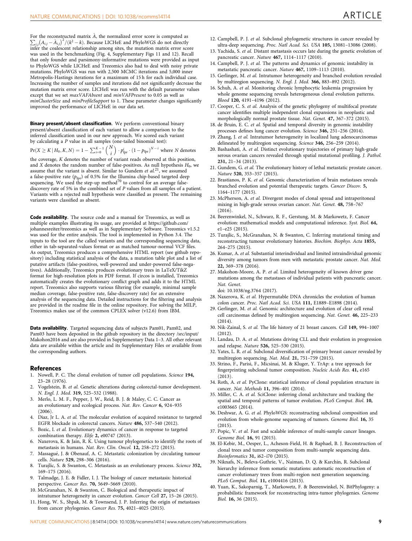<span id="page-8-0"></span>For the reconstructed matrix  $\hat{A}$ , the normalized error score is computed as  $\sum_{i,j} (A_{i,j} - \hat{A}_{i,j})^2 / (k^2 - k)$ . Because LICHeE and PhyloWGS do not directly infer the coalescent relationship among sites, the mutation matrix error score was used in the benchmarking ([Fig. 4,](#page-5-0) Supplementary Figs 11 and 12). Recall that only founder and parsimony-informative mutations were provided as input to PhyloWGS while LICHeE and Treeomics also had to deal with noisy private mutations. PhyloWGS was run with 2,500 MCMC iterations and 5,000 inner Metropolis-Hastings iterations for a maximum of 15 h for each individual case. Increasing the number of samples and iterations did not significantly decrease the mutation matrix error score. LICHeE was run with the default parameter values except that we set maxVAFAbsent and minVAFPresent to 0.05 as well as minClusterSize and minProfileSupport to 1. These parameter changes significantly improved the performance of LICHeE in our data set.

Binary present/absent classification. We perform conventional binary present/absent classification of each variant to allow a comparison to the inferred classification used in our new approach. We scored each variant by calculating a P value in all samples (one-tailed binomial test):<br> $\Pr(Y > K | H \mid K \mid N) = 1 - \sum_{i=1}^{K-1} {N \choose i} \cdot n_i^i \cdot (1 - n_i)^{N-i}$  wh

$$
Pr(X \ge K | H_0, K, N) = 1 - \sum_{i=0}^{K-1} {N \choose i} \cdot p_{\text{fpr}}^i \cdot (1 - p_{\text{fpr}})^{N-i} \text{ where } N \text{ denotes}
$$

the coverage, K denotes the number of variant reads observed at this position, and X denotes the random number of false-positives. As null hypothesis  $H_0$ , we assume that the variant is absent. Similar to Gundem et  $al$ <sup>21</sup>, we assumed a false-positive rate  $(p_{\text{fpr}})$  of 0.5% for the Illumina chip-based targeted deep sequencing. We used the step-up method<sup>[70](#page-9-0)</sup> to control for an average falsediscovery rate of 5% in the combined set of P values from all samples of a patient. Variants with a rejected null hypothesis were classified as present. The remaining variants were classified as absent.

Code availability. The source code and a manual for Treeomics, as well as multiple examples illustrating its usage, are provided at [https://github.com/](https://github.com/johannesreiter/treeomics) [johannesreiter/treeomics](https://github.com/johannesreiter/treeomics) as well as in Supplementary Software. Treeomics v1.5.2 was used for the entire analysis. The tool is implemented in Python 3.4. The inputs to the tool are the called variants and the corresponding sequencing data, either in tab-separated-values format or as matched tumour-normal VCF files. As output, Treeomics produces a comprehensive HTML report (see github repository) including statistical analysis of the data, a mutation table plot and a list of putative artifacts (false-positives, well-powered and under-powered false-negatives). Additionally, Treeomics produces evolutionary trees in LaTeX/TikZ format for high-resolution plots in PDF format. If circos is installed, Treeomics automatically creates the evolutionary conflict graph and adds it to the HTML report. Treeomics also supports various filtering (for example, minimal sample median coverage, false-positive rate, false-discovery rate) for an extensive analysis of the sequencing data. Detailed instructions for the filtering and analysis are provided in the readme file in the online repository. For solving the MILP, Treeomics makes use of the common CPLEX solver (v12.6) from IBM.

Data availability. Targeted sequencing data of subjects Pam01, Pam02, and Pam03 have been deposited in the github repository in the directory /src/input/ Makohon2016 and are also provided in Supplementary Data 1–3. All other relevant data are available within the article and its Supplementary Files or available from the corresponding authors.

#### References

- 1. Nowell, P. C. The clonal evolution of tumor cell populations. Science 194, 23–28 (1976).
- 2. Vogelstein, B. et al. Genetic alterations during colorectal-tumor development. N. Engl. J. Med. 319, 525–532 (1988).
- 3. Merlo, L. M. F., Pepper, J. W., Reid, B. J. & Maley, C. C. Cancer as an evolutionary and ecological process. Nat. Rev. Cancer 6, 924–935  $(2006)$
- 4. Diaz, Jr L. A. et al. The molecular evolution of acquired resistance to targeted EGFR blockade in colorectal cancers. Nature 486, 537–540 (2012).
- 5. Bozic, I. et al. Evolutionary dynamics of cancer in response to targeted combination therapy. Elife 2, e00747 (2013).
- 6. Naxerova, K. & Jain, R. K. Using tumour phylogenetics to identify the roots of metastasis in humans. Nat. Rev. Clin. Oncol. 12, 258-272 (2015).
- 7. Massagué, J. & Obenauf, A. C. Metastatic colonization by circulating tumour cells. Nature 529, 298–306 (2016).
- 8. Turajlic, S. & Swanton, C. Metastasis as an evolutionary process. Science 352, 169–175 (2016).
- Talmadge, J. E. & Fidler, I. J. The biology of cancer metastasis: historical perspective. Cancer Res. 70, 5649–5669 (2010).
- 10. McGranahan, N. & Swanton, C. Biological and therapeutic impact of intratumor heterogeneity in cancer evolution. Cancer Cell 27, 15–26 (2015).
- 11. Hong, W. S., Shpak, M. & Townsend, J. P. Inferring the origin of metastases from cancer phylogenies. Cancer Res. 75, 4021–4025 (2015).
- 12. Campbell, P. J. et al. Subclonal phylogenetic structures in cancer revealed by ultra-deep sequencing. Proc. Natl Acad. Sci. USA 105, 13081–13086 (2008).
- 13. Yachida, S. et al. Distant metastasis occurs late during the genetic evolution of pancreatic cancer. Nature 467, 1114–1117 (2010).
- 14. Campbell, P. J. et al. The patterns and dynamics of genomic instability in metastatic pancreatic cancer. Nature 467, 1109–1113 (2010).
- 15. Gerlinger, M. et al. Intratumor heterogeneity and branched evolution revealed by multiregion sequencing. N. Engl. J. Med. 366, 883–892 (2012).
- 16. Schuh, A. et al. Monitoring chronic lymphocytic leukemia progression by whole genome sequencing reveals heterogeneous clonal evolution patterns. Blood 120, 4191–4196 (2012).
- 17. Cooper, C. S. et al. Analysis of the genetic phylogeny of multifocal prostate cancer identifies multiple independent clonal expansions in neoplastic and morphologically normal prostate tissue. Nat. Genet. 47, 367–372 (2015).
- 18. de Bruin, E. C. et al. Spatial and temporal diversity in genomic instability processes defines lung cancer evolution. Science 346, 251–256 (2014).
- 19. Zhang, J. et al. Intratumor heterogeneity in localized lung adenocarcinomas delineated by multiregion sequencing. Science 346, 256–259 (2014).
- 20. Bashashati, A. et al. Distinct evolutionary trajectories of primary high-grade serous ovarian cancers revealed through spatial mutational profiling. J. Pathol. 231, 21–34 (2013).
- 21. Gundem, G. et al. The evolutionary history of lethal metastatic prostate cancer. Nature 520, 353–357 (2015).
- 22. Brastianos, P. K. et al. Genomic characterization of brain metastases reveals branched evolution and potential therapeutic targets. Cancer Discov. 5, 1164–1177 (2015).
- 23. McPherson, A. et al. Divergent modes of clonal spread and intraperitoneal mixing in high-grade serous ovarian cancer. Nat. Genet. 48, 758–767  $(2016)$
- 24. Beerenwinkel, N., Schwarz, R. F., Gerstung, M. & Markowetz, F. Cancer evolution: mathematical models and computational inference. Syst. Biol. 64, e1–e25 (2015).
- 25. Turajlic, S., McGranahan, N. & Swanton, C. Inferring mutational timing and reconstructing tumour evolutionary histories. Biochim. Biophys. Acta 1855, 264–275 (2015).
- 26. Kumar, A. et al. Substantial interindividual and limited intraindividual genomic diversity among tumors from men with metastatic prostate cancer. Nat. Med. 22, 369–378 (2016).
- 27. Makohon-Moore, A. P. et al. Limited heterogeneity of known driver gene mutations among the metastases of individual patients with pancreatic cancer. Nat. Genet. doi: 10.1038/ng.3764 (2017).
- 28. Naxerova, K. et al. Hypermutable DNA chronicles the evolution of human colon cancer. Proc. Natl Acad. Sci. USA 111, E1889–E1898 (2014).
- 29. Gerlinger, M. et al. Genomic architecture and evolution of clear cell renal cell carcinomas defined by multiregion sequencing. Nat. Genet. 46, 225–233 (2014).
- 30. Nik-Zainal, S. et al. The life history of 21 breast cancers. Cell 149, 994–1007 (2012).
- 31. Landau, D. A. et al. Mutations driving CLL and their evolution in progression and relapse. Nature 526, 525–530 (2015).
- 32. Yates, L. R. et al. Subclonal diversification of primary breast cancer revealed by multiregion sequencing. Nat. Med. 21, 751–759 (2015).
- 33. Strino, F., Parisi, F., Micsinai, M. & Kluger, Y. TrAp: a tree approach for fingerprinting subclonal tumor composition. Nucleic Acids Res. 41, e165  $(2013).$
- 34. Roth, A. et al. PyClone: statistical inference of clonal population structure in cancer. Nat. Methods 11, 396–401 (2014).
- 35. Miller, C. A. et al. SciClone: inferring clonal architecture and tracking the spatial and temporal patterns of tumor evolution. PLoS Comput. Biol. 10, e1003665 (2014).
- 36. Deshwar, A. G. et al. PhyloWGS: reconstructing subclonal composition and evolution from whole-genome sequencing of tumors. Genome Biol. 16, 35 (2015).
- 37. Popic, V. et al. Fast and scalable inference of multi-sample cancer lineages. Genome Biol. 16, 91 (2015).
- 38. El-Kebir, M., Oesper, L., Acheson-Field, H. & Raphael, B. J. Reconstruction of clonal trees and tumor composition from multi-sample sequencing data. Bioinformatics 31, i62–i70 (2015).
- 39. Niknafs, N., Beleva-Guthrie, V., Naiman, D. Q. & Karchin, R. Subclonal hierarchy inference from somatic mutations: automatic reconstruction of cancer evolutionary trees from multi-region next generation sequencing. PLoS Comput. Biol. 11, e1004416 (2015).
- 40. Yuan, K., Sakoparnig, T., Markowetz, F. & Beerenwinkel, N. BitPhylogeny: a probabilistic framework for reconstructing intra-tumor phylogenies. Genome Biol. 16, 36 (2015).